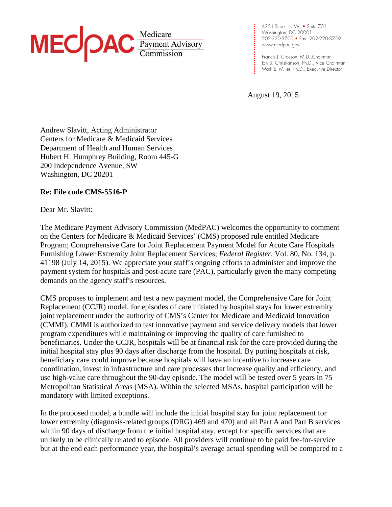

**.**  Washington, DC 20001 **. . . . .**  202-220-3700 • Fax: 202-220-3759 **. . .**  www.medpac.gov 425 I Street, N.W. • Suite 701

**. .**  Francis J. Crosson, M.D.,Chairman Jon B. Christianson, Ph.D., Vice Chairman Mark E. Miller, Ph.D., Executive Director

August 19, 2015

**. . . .** 

**. .** 

**. . . . . . .**

Andrew Slavitt, Acting Administrator Centers for Medicare & Medicaid Services Department of Health and Human Services Hubert H. Humphrey Building, Room 445-G 200 Independence Avenue, SW Washington, DC 20201

### **Re: File code CMS-5516-P**

Dear Mr. Slavitt:

The Medicare Payment Advisory Commission (MedPAC) welcomes the opportunity to comment on the Centers for Medicare & Medicaid Services' (CMS) proposed rule entitled Medicare Program; Comprehensive Care for Joint Replacement Payment Model for Acute Care Hospitals Furnishing Lower Extremity Joint Replacement Services; *Federal Register*, Vol. 80, No. 134, p. 41198 (July 14, 2015). We appreciate your staff's ongoing efforts to administer and improve the payment system for hospitals and post-acute care (PAC), particularly given the many competing demands on the agency staff's resources.

CMS proposes to implement and test a new payment model, the Comprehensive Care for Joint Replacement (CCJR) model, for episodes of care initiated by hospital stays for lower extremity joint replacement under the authority of CMS's Center for Medicare and Medicaid Innovation (CMMI). CMMI is authorized to test innovative payment and service delivery models that lower program expenditures while maintaining or improving the quality of care furnished to beneficiaries. Under the CCJR, hospitals will be at financial risk for the care provided during the initial hospital stay plus 90 days after discharge from the hospital. By putting hospitals at risk, beneficiary care could improve because hospitals will have an incentive to increase care coordination, invest in infrastructure and care processes that increase quality and efficiency, and use high-value care throughout the 90-day episode. The model will be tested over 5 years in 75 Metropolitan Statistical Areas (MSA). Within the selected MSAs, hospital participation will be mandatory with limited exceptions.

In the proposed model, a bundle will include the initial hospital stay for joint replacement for lower extremity (diagnosis-related groups (DRG) 469 and 470) and all Part A and Part B services within 90 days of discharge from the initial hospital stay, except for specific services that are unlikely to be clinically related to episode. All providers will continue to be paid fee-for-service but at the end each performance year, the hospital's average actual spending will be compared to a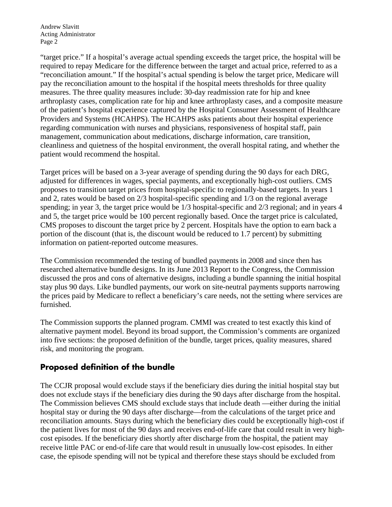"target price." If a hospital's average actual spending exceeds the target price, the hospital will be required to repay Medicare for the difference between the target and actual price, referred to as a "reconciliation amount." If the hospital's actual spending is below the target price, Medicare will pay the reconciliation amount to the hospital if the hospital meets thresholds for three quality measures. The three quality measures include: 30-day readmission rate for hip and knee arthroplasty cases, complication rate for hip and knee arthroplasty cases, and a composite measure of the patient's hospital experience captured by the Hospital Consumer Assessment of Healthcare Providers and Systems (HCAHPS). The HCAHPS asks patients about their hospital experience regarding communication with nurses and physicians, responsiveness of hospital staff, pain management, communication about medications, discharge information, care transition, cleanliness and quietness of the hospital environment, the overall hospital rating, and whether the patient would recommend the hospital.

Target prices will be based on a 3-year average of spending during the 90 days for each DRG, adjusted for differences in wages, special payments, and exceptionally high-cost outliers. CMS proposes to transition target prices from hospital-specific to regionally-based targets. In years 1 and 2, rates would be based on 2/3 hospital-specific spending and 1/3 on the regional average spending; in year 3, the target price would be 1/3 hospital-specific and 2/3 regional; and in years 4 and 5, the target price would be 100 percent regionally based. Once the target price is calculated, CMS proposes to discount the target price by 2 percent. Hospitals have the option to earn back a portion of the discount (that is, the discount would be reduced to 1.7 percent) by submitting information on patient-reported outcome measures.

The Commission recommended the testing of bundled payments in 2008 and since then has researched alternative bundle designs. In its June 2013 Report to the Congress, the Commission discussed the pros and cons of alternative designs, including a bundle spanning the initial hospital stay plus 90 days. Like bundled payments, our work on site-neutral payments supports narrowing the prices paid by Medicare to reflect a beneficiary's care needs, not the setting where services are furnished.

The Commission supports the planned program. CMMI was created to test exactly this kind of alternative payment model. Beyond its broad support, the Commission's comments are organized into five sections: the proposed definition of the bundle, target prices, quality measures, shared risk, and monitoring the program.

## **Proposed definition of the bundle**

The CCJR proposal would exclude stays if the beneficiary dies during the initial hospital stay but does not exclude stays if the beneficiary dies during the 90 days after discharge from the hospital. The Commission believes CMS should exclude stays that include death —either during the initial hospital stay or during the 90 days after discharge—from the calculations of the target price and reconciliation amounts. Stays during which the beneficiary dies could be exceptionally high-cost if the patient lives for most of the 90 days and receives end-of-life care that could result in very highcost episodes. If the beneficiary dies shortly after discharge from the hospital, the patient may receive little PAC or end-of-life care that would result in unusually low-cost episodes. In either case, the episode spending will not be typical and therefore these stays should be excluded from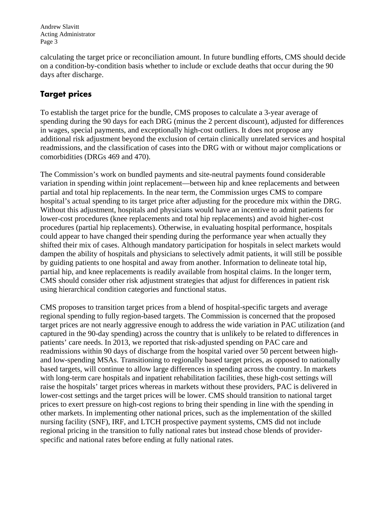calculating the target price or reconciliation amount. In future bundling efforts, CMS should decide on a condition-by-condition basis whether to include or exclude deaths that occur during the 90 days after discharge.

# **Target prices**

To establish the target price for the bundle, CMS proposes to calculate a 3-year average of spending during the 90 days for each DRG (minus the 2 percent discount), adjusted for differences in wages, special payments, and exceptionally high-cost outliers. It does not propose any additional risk adjustment beyond the exclusion of certain clinically unrelated services and hospital readmissions, and the classification of cases into the DRG with or without major complications or comorbidities (DRGs 469 and 470).

The Commission's work on bundled payments and site-neutral payments found considerable variation in spending within joint replacement—between hip and knee replacements and between partial and total hip replacements. In the near term, the Commission urges CMS to compare hospital's actual spending to its target price after adjusting for the procedure mix within the DRG. Without this adjustment, hospitals and physicians would have an incentive to admit patients for lower-cost procedures (knee replacements and total hip replacements) and avoid higher-cost procedures (partial hip replacements). Otherwise, in evaluating hospital performance, hospitals could appear to have changed their spending during the performance year when actually they shifted their mix of cases. Although mandatory participation for hospitals in select markets would dampen the ability of hospitals and physicians to selectively admit patients, it will still be possible by guiding patients to one hospital and away from another. Information to delineate total hip, partial hip, and knee replacements is readily available from hospital claims. In the longer term, CMS should consider other risk adjustment strategies that adjust for differences in patient risk using hierarchical condition categories and functional status.

CMS proposes to transition target prices from a blend of hospital-specific targets and average regional spending to fully region-based targets. The Commission is concerned that the proposed target prices are not nearly aggressive enough to address the wide variation in PAC utilization (and captured in the 90-day spending) across the country that is unlikely to be related to differences in patients' care needs. In 2013, we reported that risk-adjusted spending on PAC care and readmissions within 90 days of discharge from the hospital varied over 50 percent between highand low-spending MSAs. Transitioning to regionally based target prices, as opposed to nationally based targets, will continue to allow large differences in spending across the country. In markets with long-term care hospitals and inpatient rehabilitation facilities, these high-cost settings will raise the hospitals' target prices whereas in markets without these providers, PAC is delivered in lower-cost settings and the target prices will be lower. CMS should transition to national target prices to exert pressure on high-cost regions to bring their spending in line with the spending in other markets. In implementing other national prices, such as the implementation of the skilled nursing facility (SNF), IRF, and LTCH prospective payment systems, CMS did not include regional pricing in the transition to fully national rates but instead chose blends of providerspecific and national rates before ending at fully national rates.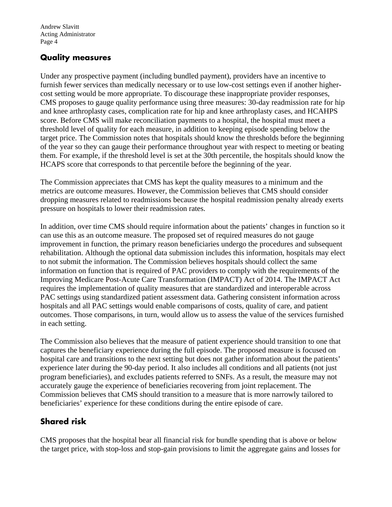### **Quality measures**

Under any prospective payment (including bundled payment), providers have an incentive to furnish fewer services than medically necessary or to use low-cost settings even if another highercost setting would be more appropriate. To discourage these inappropriate provider responses, CMS proposes to gauge quality performance using three measures: 30-day readmission rate for hip and knee arthroplasty cases, complication rate for hip and knee arthroplasty cases, and HCAHPS score. Before CMS will make reconciliation payments to a hospital, the hospital must meet a threshold level of quality for each measure, in addition to keeping episode spending below the target price. The Commission notes that hospitals should know the thresholds before the beginning of the year so they can gauge their performance throughout year with respect to meeting or beating them. For example, if the threshold level is set at the 30th percentile, the hospitals should know the HCAPS score that corresponds to that percentile before the beginning of the year.

The Commission appreciates that CMS has kept the quality measures to a minimum and the metrics are outcome measures. However, the Commission believes that CMS should consider dropping measures related to readmissions because the hospital readmission penalty already exerts pressure on hospitals to lower their readmission rates.

In addition, over time CMS should require information about the patients' changes in function so it can use this as an outcome measure. The proposed set of required measures do not gauge improvement in function, the primary reason beneficiaries undergo the procedures and subsequent rehabilitation. Although the optional data submission includes this information, hospitals may elect to not submit the information. The Commission believes hospitals should collect the same information on function that is required of PAC providers to comply with the requirements of the Improving Medicare Post-Acute Care Transformation (IMPACT) Act of 2014. The IMPACT Act requires the implementation of quality measures that are standardized and interoperable across PAC settings using standardized patient assessment data. Gathering consistent information across hospitals and all PAC settings would enable comparisons of costs, quality of care, and patient outcomes. Those comparisons, in turn, would allow us to assess the value of the services furnished in each setting.

The Commission also believes that the measure of patient experience should transition to one that captures the beneficiary experience during the full episode. The proposed measure is focused on hospital care and transitions to the next setting but does not gather information about the patients' experience later during the 90-day period. It also includes all conditions and all patients (not just program beneficiaries), and excludes patients referred to SNFs. As a result, the measure may not accurately gauge the experience of beneficiaries recovering from joint replacement. The Commission believes that CMS should transition to a measure that is more narrowly tailored to beneficiaries' experience for these conditions during the entire episode of care.

# **Shared risk**

CMS proposes that the hospital bear all financial risk for bundle spending that is above or below the target price, with stop-loss and stop-gain provisions to limit the aggregate gains and losses for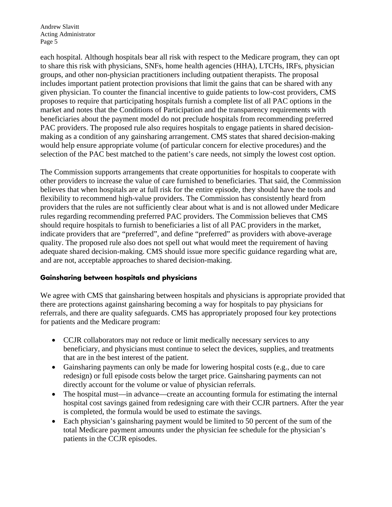each hospital. Although hospitals bear all risk with respect to the Medicare program, they can opt to share this risk with physicians, SNFs, home health agencies (HHA), LTCHs, IRFs, physician groups, and other non-physician practitioners including outpatient therapists. The proposal includes important patient protection provisions that limit the gains that can be shared with any given physician. To counter the financial incentive to guide patients to low-cost providers, CMS proposes to require that participating hospitals furnish a complete list of all PAC options in the market and notes that the Conditions of Participation and the transparency requirements with beneficiaries about the payment model do not preclude hospitals from recommending preferred PAC providers. The proposed rule also requires hospitals to engage patients in shared decisionmaking as a condition of any gainsharing arrangement. CMS states that shared decision-making would help ensure appropriate volume (of particular concern for elective procedures) and the selection of the PAC best matched to the patient's care needs, not simply the lowest cost option.

The Commission supports arrangements that create opportunities for hospitals to cooperate with other providers to increase the value of care furnished to beneficiaries. That said, the Commission believes that when hospitals are at full risk for the entire episode, they should have the tools and flexibility to recommend high-value providers. The Commission has consistently heard from providers that the rules are not sufficiently clear about what is and is not allowed under Medicare rules regarding recommending preferred PAC providers. The Commission believes that CMS should require hospitals to furnish to beneficiaries a list of all PAC providers in the market, indicate providers that are "preferred", and define "preferred" as providers with above-average quality. The proposed rule also does not spell out what would meet the requirement of having adequate shared decision-making. CMS should issue more specific guidance regarding what are, and are not, acceptable approaches to shared decision-making.

### **Gainsharing between hospitals and physicians**

We agree with CMS that gainsharing between hospitals and physicians is appropriate provided that there are protections against gainsharing becoming a way for hospitals to pay physicians for referrals, and there are quality safeguards. CMS has appropriately proposed four key protections for patients and the Medicare program:

- CCJR collaborators may not reduce or limit medically necessary services to any beneficiary, and physicians must continue to select the devices, supplies, and treatments that are in the best interest of the patient.
- Gainsharing payments can only be made for lowering hospital costs (e.g., due to care redesign) or full episode costs below the target price. Gainsharing payments can not directly account for the volume or value of physician referrals.
- The hospital must—in advance—create an accounting formula for estimating the internal hospital cost savings gained from redesigning care with their CCJR partners. After the year is completed, the formula would be used to estimate the savings.
- Each physician's gainsharing payment would be limited to 50 percent of the sum of the total Medicare payment amounts under the physician fee schedule for the physician's patients in the CCJR episodes.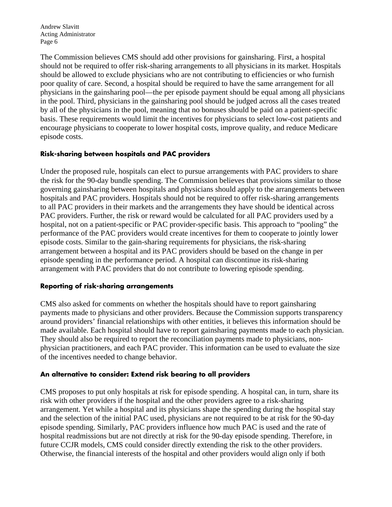The Commission believes CMS should add other provisions for gainsharing. First, a hospital should not be required to offer risk-sharing arrangements to all physicians in its market. Hospitals should be allowed to exclude physicians who are not contributing to efficiencies or who furnish poor quality of care. Second, a hospital should be required to have the same arrangement for all physicians in the gainsharing pool—the per episode payment should be equal among all physicians in the pool. Third, physicians in the gainsharing pool should be judged across all the cases treated by all of the physicians in the pool, meaning that no bonuses should be paid on a patient-specific basis. These requirements would limit the incentives for physicians to select low-cost patients and encourage physicians to cooperate to lower hospital costs, improve quality, and reduce Medicare episode costs.

### **Risk-sharing between hospitals and PAC providers**

Under the proposed rule, hospitals can elect to pursue arrangements with PAC providers to share the risk for the 90-day bundle spending. The Commission believes that provisions similar to those governing gainsharing between hospitals and physicians should apply to the arrangements between hospitals and PAC providers. Hospitals should not be required to offer risk-sharing arrangements to all PAC providers in their markets and the arrangements they have should be identical across PAC providers. Further, the risk or reward would be calculated for all PAC providers used by a hospital, not on a patient-specific or PAC provider-specific basis. This approach to "pooling" the performance of the PAC providers would create incentives for them to cooperate to jointly lower episode costs. Similar to the gain-sharing requirements for physicians, the risk-sharing arrangement between a hospital and its PAC providers should be based on the change in per episode spending in the performance period. A hospital can discontinue its risk-sharing arrangement with PAC providers that do not contribute to lowering episode spending.

#### **Reporting of risk-sharing arrangements**

CMS also asked for comments on whether the hospitals should have to report gainsharing payments made to physicians and other providers. Because the Commission supports transparency around providers' financial relationships with other entities, it believes this information should be made available. Each hospital should have to report gainsharing payments made to each physician. They should also be required to report the reconciliation payments made to physicians, nonphysician practitioners, and each PAC provider. This information can be used to evaluate the size of the incentives needed to change behavior.

#### **An alternative to consider: Extend risk bearing to all providers**

CMS proposes to put only hospitals at risk for episode spending. A hospital can, in turn, share its risk with other providers if the hospital and the other providers agree to a risk-sharing arrangement. Yet while a hospital and its physicians shape the spending during the hospital stay and the selection of the initial PAC used, physicians are not required to be at risk for the 90-day episode spending. Similarly, PAC providers influence how much PAC is used and the rate of hospital readmissions but are not directly at risk for the 90-day episode spending. Therefore, in future CCJR models, CMS could consider directly extending the risk to the other providers. Otherwise, the financial interests of the hospital and other providers would align only if both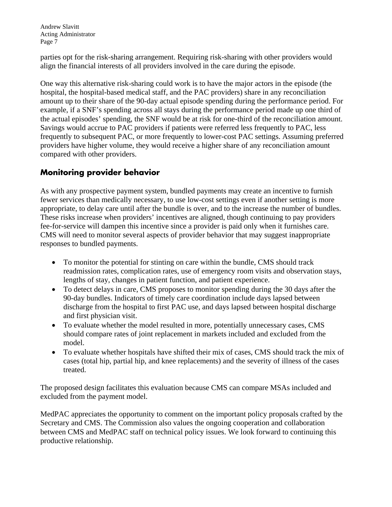parties opt for the risk-sharing arrangement. Requiring risk-sharing with other providers would align the financial interests of all providers involved in the care during the episode.

One way this alternative risk-sharing could work is to have the major actors in the episode (the hospital, the hospital-based medical staff, and the PAC providers) share in any reconciliation amount up to their share of the 90-day actual episode spending during the performance period. For example, if a SNF's spending across all stays during the performance period made up one third of the actual episodes' spending, the SNF would be at risk for one-third of the reconciliation amount. Savings would accrue to PAC providers if patients were referred less frequently to PAC, less frequently to subsequent PAC, or more frequently to lower-cost PAC settings. Assuming preferred providers have higher volume, they would receive a higher share of any reconciliation amount compared with other providers.

# **Monitoring provider behavior**

As with any prospective payment system, bundled payments may create an incentive to furnish fewer services than medically necessary, to use low-cost settings even if another setting is more appropriate, to delay care until after the bundle is over, and to the increase the number of bundles. These risks increase when providers' incentives are aligned, though continuing to pay providers fee-for-service will dampen this incentive since a provider is paid only when it furnishes care. CMS will need to monitor several aspects of provider behavior that may suggest inappropriate responses to bundled payments.

- To monitor the potential for stinting on care within the bundle, CMS should track readmission rates, complication rates, use of emergency room visits and observation stays, lengths of stay, changes in patient function, and patient experience.
- To detect delays in care, CMS proposes to monitor spending during the 30 days after the 90-day bundles. Indicators of timely care coordination include days lapsed between discharge from the hospital to first PAC use, and days lapsed between hospital discharge and first physician visit.
- To evaluate whether the model resulted in more, potentially unnecessary cases, CMS should compare rates of joint replacement in markets included and excluded from the model.
- To evaluate whether hospitals have shifted their mix of cases, CMS should track the mix of cases (total hip, partial hip, and knee replacements) and the severity of illness of the cases treated.

The proposed design facilitates this evaluation because CMS can compare MSAs included and excluded from the payment model.

MedPAC appreciates the opportunity to comment on the important policy proposals crafted by the Secretary and CMS. The Commission also values the ongoing cooperation and collaboration between CMS and MedPAC staff on technical policy issues. We look forward to continuing this productive relationship.